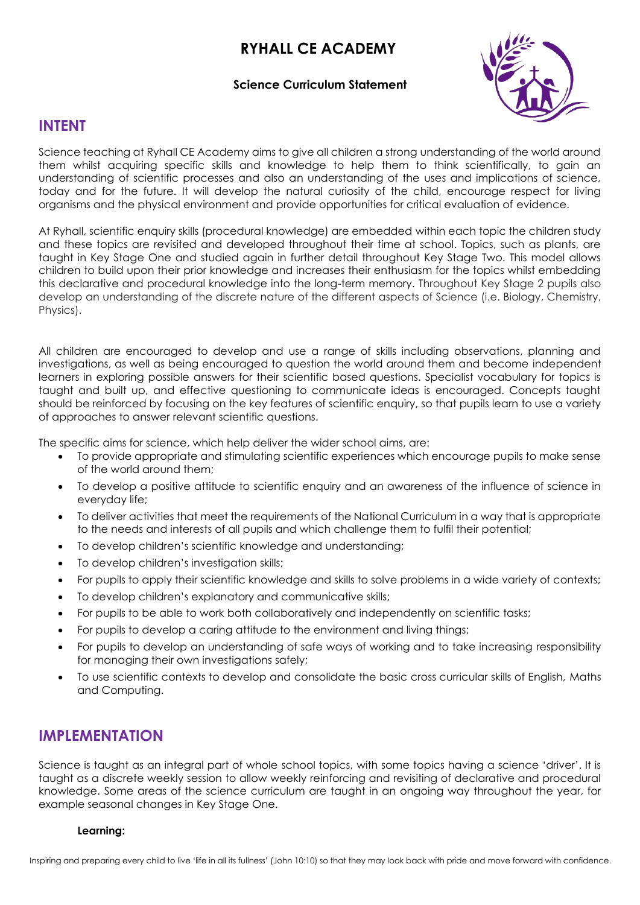# **RYHALL CE ACADEMY**

#### **Science Curriculum Statement**



## **INTENT**

Science teaching at Ryhall CE Academy aims to give all children a strong understanding of the world around them whilst acquiring specific skills and knowledge to help them to think scientifically, to gain an understanding of scientific processes and also an understanding of the uses and implications of science, today and for the future. It will develop the natural curiosity of the child, encourage respect for living organisms and the physical environment and provide opportunities for critical evaluation of evidence.

At Ryhall, scientific enquiry skills (procedural knowledge) are embedded within each topic the children study and these topics are revisited and developed throughout their time at school. Topics, such as plants, are taught in Key Stage One and studied again in further detail throughout Key Stage Two. This model allows children to build upon their prior knowledge and increases their enthusiasm for the topics whilst embedding this declarative and procedural knowledge into the long-term memory. Throughout Key Stage 2 pupils also develop an understanding of the discrete nature of the different aspects of Science (i.e. Biology, Chemistry, Physics).

All children are encouraged to develop and use a range of skills including observations, planning and investigations, as well as being encouraged to question the world around them and become independent learners in exploring possible answers for their scientific based questions. Specialist vocabulary for topics is taught and built up, and effective questioning to communicate ideas is encouraged. Concepts taught should be reinforced by focusing on the key features of scientific enquiry, so that pupils learn to use a variety of approaches to answer relevant scientific questions.

The specific aims for science, which help deliver the wider school aims, are:

- To provide appropriate and stimulating scientific experiences which encourage pupils to make sense of the world around them;
- To develop a positive attitude to scientific enquiry and an awareness of the influence of science in everyday life;
- To deliver activities that meet the requirements of the National Curriculum in a way that is appropriate to the needs and interests of all pupils and which challenge them to fulfil their potential;
- To develop children's scientific knowledge and understanding;
- To develop children's investigation skills:
- For pupils to apply their scientific knowledge and skills to solve problems in a wide variety of contexts;
- To develop children's explanatory and communicative skills;
- For pupils to be able to work both collaboratively and independently on scientific tasks;
- For pupils to develop a caring attitude to the environment and living things;
- For pupils to develop an understanding of safe ways of working and to take increasing responsibility for managing their own investigations safely;
- To use scientific contexts to develop and consolidate the basic cross curricular skills of English, Maths and Computing.

## **IMPLEMENTATION**

Science is taught as an integral part of whole school topics, with some topics having a science 'driver'. It is taught as a discrete weekly session to allow weekly reinforcing and revisiting of declarative and procedural knowledge. Some areas of the science curriculum are taught in an ongoing way throughout the year, for example seasonal changes in Key Stage One.

#### **Learning:**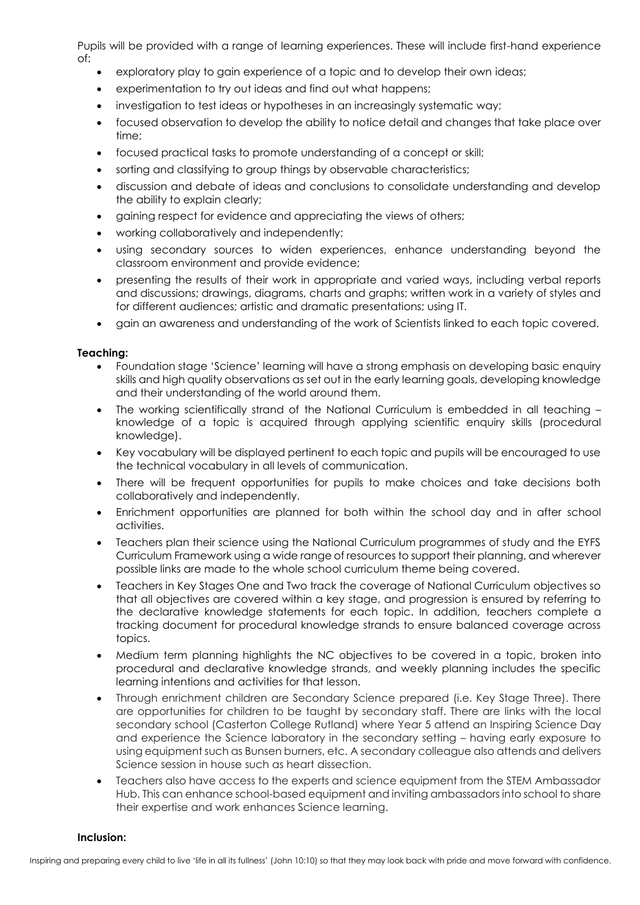Pupils will be provided with a range of learning experiences. These will include first-hand experience of:

- exploratory play to gain experience of a topic and to develop their own ideas;
- experimentation to try out ideas and find out what happens;
- investigation to test ideas or hypotheses in an increasingly systematic way;
- focused observation to develop the ability to notice detail and changes that take place over time;
- focused practical tasks to promote understanding of a concept or skill;
- sorting and classifying to group things by observable characteristics;
- discussion and debate of ideas and conclusions to consolidate understanding and develop the ability to explain clearly;
- gaining respect for evidence and appreciating the views of others;
- working collaboratively and independently;
- using secondary sources to widen experiences, enhance understanding beyond the classroom environment and provide evidence;
- presenting the results of their work in appropriate and varied ways, including verbal reports and discussions; drawings, diagrams, charts and graphs; written work in a variety of styles and for different audiences; artistic and dramatic presentations; using IT.
- gain an awareness and understanding of the work of Scientists linked to each topic covered.

#### **Teaching:**

- Foundation stage 'Science' learning will have a strong emphasis on developing basic enquiry skills and high quality observations as set out in the early learning goals, developing knowledge and their understanding of the world around them.
- The working scientifically strand of the National Curriculum is embedded in all teaching knowledge of a topic is acquired through applying scientific enquiry skills (procedural knowledge).
- Key vocabulary will be displayed pertinent to each topic and pupils will be encouraged to use the technical vocabulary in all levels of communication.
- There will be frequent opportunities for pupils to make choices and take decisions both collaboratively and independently.
- Enrichment opportunities are planned for both within the school day and in after school activities.
- Teachers plan their science using the National Curriculum programmes of study and the EYFS Curriculum Framework using a wide range of resources to support their planning, and wherever possible links are made to the whole school curriculum theme being covered.
- Teachers in Key Stages One and Two track the coverage of National Curriculum objectives so that all objectives are covered within a key stage, and progression is ensured by referring to the declarative knowledge statements for each topic. In addition, teachers complete a tracking document for procedural knowledge strands to ensure balanced coverage across topics.
- Medium term planning highlights the NC objectives to be covered in a topic, broken into procedural and declarative knowledge strands, and weekly planning includes the specific learning intentions and activities for that lesson.
- Through enrichment children are Secondary Science prepared (i.e. Key Stage Three). There are opportunities for children to be taught by secondary staff. There are links with the local secondary school (Casterton College Rutland) where Year 5 attend an Inspiring Science Day and experience the Science laboratory in the secondary setting – having early exposure to using equipment such as Bunsen burners, etc. A secondary colleague also attends and delivers Science session in house such as heart dissection.
- Teachers also have access to the experts and science equipment from the STEM Ambassador Hub. This can enhance school-based equipment and inviting ambassadors into school to share their expertise and work enhances Science learning.

#### **Inclusion:**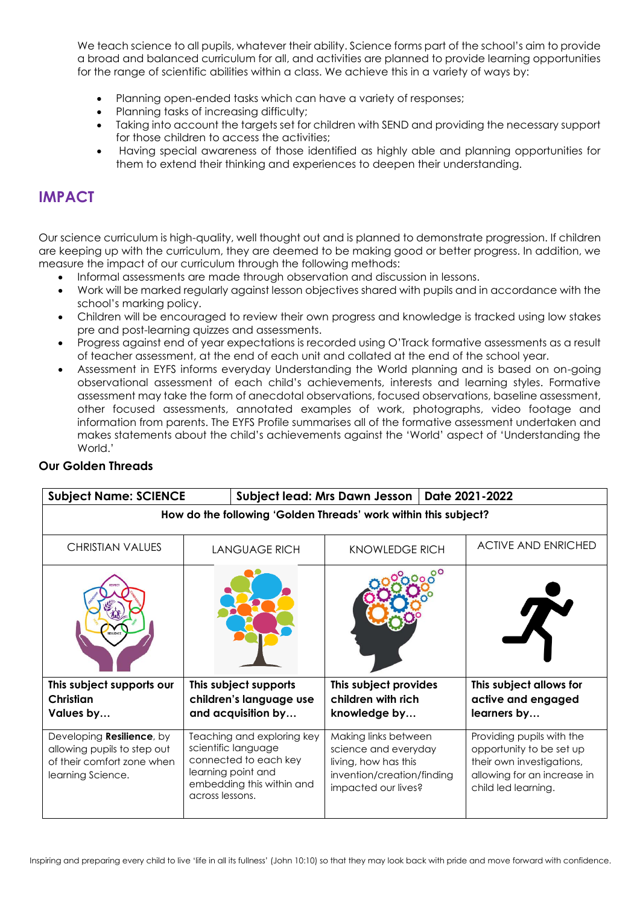We teach science to all pupils, whatever their ability. Science forms part of the school's aim to provide a broad and balanced curriculum for all, and activities are planned to provide learning opportunities for the range of scientific abilities within a class. We achieve this in a variety of ways by:

- Planning open-ended tasks which can have a variety of responses;
- Planning tasks of increasing difficulty;
- Taking into account the targets set for children with SEND and providing the necessary support for those children to access the activities;
- Having special awareness of those identified as highly able and planning opportunities for them to extend their thinking and experiences to deepen their understanding.

## **IMPACT**

Our science curriculum is high-quality, well thought out and is planned to demonstrate progression. If children are keeping up with the curriculum, they are deemed to be making good or better progress. In addition, we measure the impact of our curriculum through the following methods:

- Informal assessments are made through observation and discussion in lessons.
- Work will be marked regularly against lesson objectives shared with pupils and in accordance with the school's marking policy.
- Children will be encouraged to review their own progress and knowledge is tracked using low stakes pre and post-learning quizzes and assessments.
- Progress against end of year expectations is recorded using O'Track formative assessments as a result of teacher assessment, at the end of each unit and collated at the end of the school year.
- Assessment in EYFS informs everyday Understanding the World planning and is based on on-going observational assessment of each child's achievements, interests and learning styles. Formative assessment may take the form of anecdotal observations, focused observations, baseline assessment, other focused assessments, annotated examples of work, photographs, video footage and information from parents. The EYFS Profile summarises all of the formative assessment undertaken and makes statements about the child's achievements against the 'World' aspect of 'Understanding the World<sup>'</sup>

### **Our Golden Threads**

| <b>Subject Name: SCIENCE</b>                                                                                        |                                                                                                                                                  | Date 2021-2022<br>Subject lead: Mrs Dawn Jesson                                                                           |                                                                                                                                          |  |  |
|---------------------------------------------------------------------------------------------------------------------|--------------------------------------------------------------------------------------------------------------------------------------------------|---------------------------------------------------------------------------------------------------------------------------|------------------------------------------------------------------------------------------------------------------------------------------|--|--|
| How do the following 'Golden Threads' work within this subject?                                                     |                                                                                                                                                  |                                                                                                                           |                                                                                                                                          |  |  |
| <b>CHRISTIAN VALUES</b>                                                                                             | <b>LANGUAGE RICH</b>                                                                                                                             | <b>KNOWLEDGE RICH</b>                                                                                                     | <b>ACTIVE AND ENRICHED</b>                                                                                                               |  |  |
|                                                                                                                     |                                                                                                                                                  |                                                                                                                           |                                                                                                                                          |  |  |
| This subject supports our<br>Christian<br>Values by                                                                 | This subject supports<br>children's language use<br>and acquisition by                                                                           | This subject provides<br>children with rich<br>knowledge by                                                               | This subject allows for<br>active and engaged<br>learners by                                                                             |  |  |
| Developing <b>Resilience</b> , by<br>allowing pupils to step out<br>of their comfort zone when<br>learning Science. | Teaching and exploring key<br>scientific language<br>connected to each key<br>learning point and<br>embedding this within and<br>across lessons. | Making links between<br>science and everyday<br>living, how has this<br>invention/creation/finding<br>impacted our lives? | Providing pupils with the<br>opportunity to be set up<br>their own investigations,<br>allowing for an increase in<br>child led learning. |  |  |